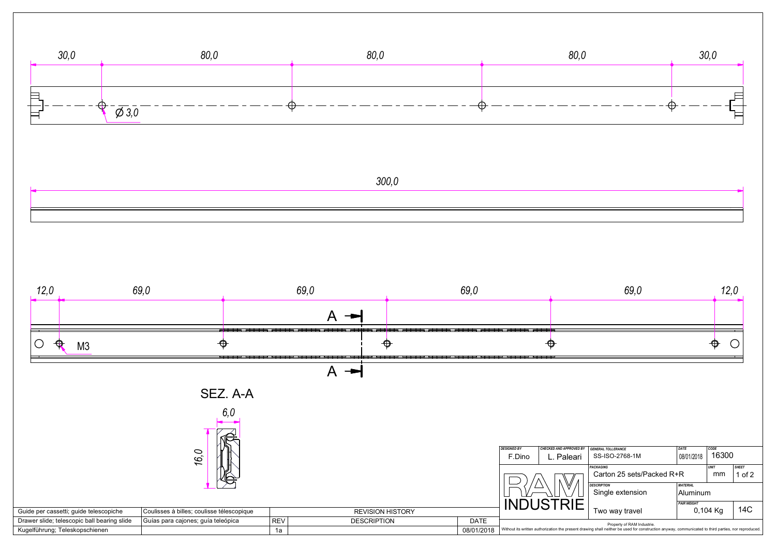